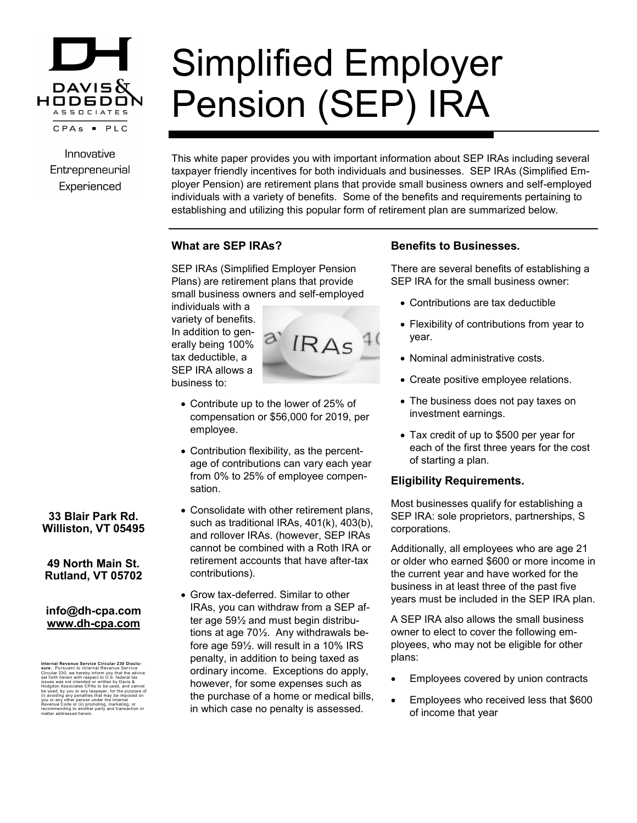

Innovative Entrepreneurial Experienced

# Simplified Employer Pension (SEP) IRA

This white paper provides you with important information about SEP IRAs including several taxpayer friendly incentives for both individuals and businesses. SEP IRAs (Simplified Employer Pension) are retirement plans that provide small business owners and self-employed individuals with a variety of benefits. Some of the benefits and requirements pertaining to establishing and utilizing this popular form of retirement plan are summarized below.

## **What are SEP IRAs?**

SEP IRAs (Simplified Employer Pension Plans) are retirement plans that provide small business owners and self-employed

individuals with a variety of benefits. In addition to generally being 100% tax deductible, a SEP IRA allows a business to:



IRAS

- Contribution flexibility, as the percentage of contributions can vary each year from 0% to 25% of employee compensation.
- Consolidate with other retirement plans, such as traditional IRAs, 401(k), 403(b), and rollover IRAs. (however, SEP IRAs cannot be combined with a Roth IRA or retirement accounts that have after-tax contributions).
- Grow tax-deferred. Similar to other IRAs, you can withdraw from a SEP after age 59½ and must begin distributions at age 70½. Any withdrawals before age 59½. will result in a 10% IRS penalty, in addition to being taxed as ordinary income. Exceptions do apply, however, for some expenses such as the purchase of a home or medical bills, in which case no penalty is assessed.

### **Benefits to Businesses.**

There are several benefits of establishing a SEP IRA for the small business owner:

- Contributions are tax deductible
- Flexibility of contributions from year to year.
- Nominal administrative costs.
- Create positive employee relations.
- The business does not pay taxes on investment earnings.
- Tax credit of up to \$500 per year for each of the first three years for the cost of starting a plan.

#### **Eligibility Requirements.**

Most businesses qualify for establishing a SEP IRA: sole proprietors, partnerships, S corporations.

Additionally, all employees who are age 21 or older who earned \$600 or more income in the current year and have worked for the business in at least three of the past five years must be included in the SEP IRA plan.

A SEP IRA also allows the small business owner to elect to cover the following employees, who may not be eligible for other plans:

- Employees covered by union contracts
- Employees who received less that \$600 of income that year

## **33 Blair Park Rd. Williston, VT 05495**

#### **49 North Main St. Rutland, VT 05702**

#### **info@dh-cpa.com www.dh-cpa.com**

Internal Revenue Service Circular 230 Disclo-<br>sure. Pursuant to Internal Revenue Service<br>sure. Pursuant to Internal Revenue Service<br>issues was not intended or written by Oavia &<br>issues was not intended or written by Oavia